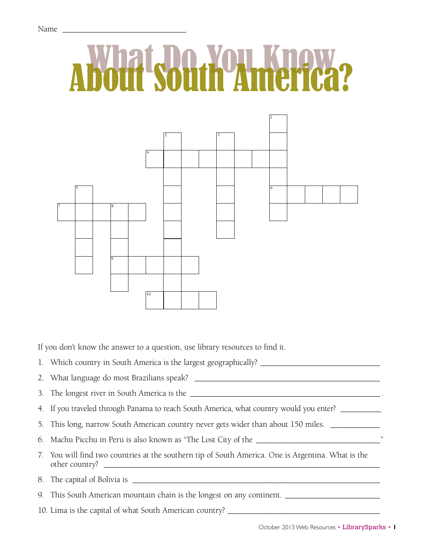

If you don't know the answer to a question, use library resources to find it.

1. Which country in South America is the largest geographically? \_\_\_\_\_\_\_\_\_\_\_\_\_\_\_\_\_\_\_\_\_\_\_\_\_\_\_\_\_

2. What language do most Brazilians speak? \_\_\_\_\_\_\_\_\_\_\_\_\_\_\_\_\_\_\_\_\_\_\_\_\_\_\_\_\_\_\_\_\_\_\_\_\_\_\_\_\_\_\_\_\_

3. The longest river in South America is the \_\_\_\_\_\_\_\_\_\_\_\_\_\_\_\_\_\_\_\_\_\_\_\_\_\_\_\_\_\_\_\_\_\_\_\_\_\_\_\_\_\_\_\_\_\_ .

4. If you traveled through Panama to reach South America, what country would you enter?

5. This long, narrow South American country never gets wider than about 150 miles. \_\_\_\_\_\_\_\_\_\_\_\_\_\_\_\_

6. Machu Picchu in Peru is also known as "The Lost City of the \_\_\_\_\_\_\_\_\_\_\_\_\_\_\_\_\_\_\_\_\_\_\_\_\_\_\_\_\_\_"

7. You will find two countries at the southern tip of South America. One is Argentina. What is the other country? \_\_\_\_\_\_\_\_\_\_\_\_\_\_\_\_\_\_\_\_\_\_\_\_\_\_\_\_\_\_\_\_\_\_\_\_\_\_\_\_\_\_\_\_\_\_\_\_\_\_\_\_\_\_\_\_\_\_\_\_\_\_\_\_\_\_\_

8. The capital of Bolivia is \_\_\_\_\_\_\_\_\_\_\_\_\_\_\_\_\_\_\_\_\_\_\_\_\_\_\_\_\_\_\_\_\_\_\_\_\_\_\_\_\_\_\_\_\_\_\_\_\_\_\_\_\_\_\_\_\_\_\_\_

9. This South American mountain chain is the longest on any continent. \_\_\_\_\_\_\_\_\_\_\_\_\_\_\_\_\_\_\_\_\_\_\_

10. Lima is the capital of what South American country? \_\_\_\_\_\_\_\_\_\_\_\_\_\_\_\_\_\_\_\_\_\_\_\_\_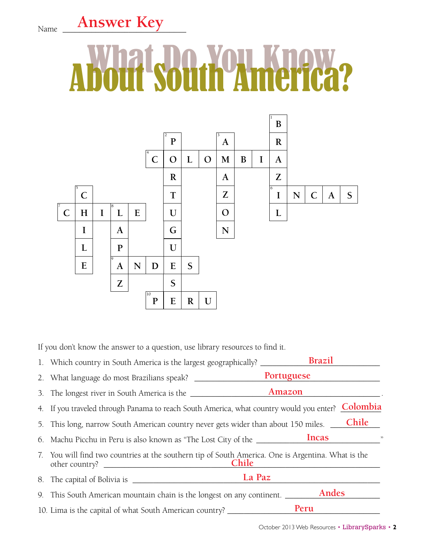## Name **Answer Key**

## What Do You Know About South America?



If you don't know the answer to a question, use library resources to find it.

|    |                                                                                                          | Portuguese  |
|----|----------------------------------------------------------------------------------------------------------|-------------|
|    |                                                                                                          |             |
|    | 4. If you traveled through Panama to reach South America, what country would you enter?                  | Colombia    |
|    | Chile<br>5. This long, narrow South American country never gets wider than about 150 miles.              |             |
|    | 6. Machu Picchu in Peru is also known as "The Lost City of the _________________                         | Incas<br>,, |
| 7. | You will find two countries at the southern tip of South America. One is Argentina. What is the<br>Chile |             |
|    | La Paz                                                                                                   |             |
|    | 9. This South American mountain chain is the longest on any continent.                                   | Andes       |
|    | 10. Lima is the capital of what South American country?                                                  | Peru        |

October 2013 Web Resources • LibrarySparks • **2**